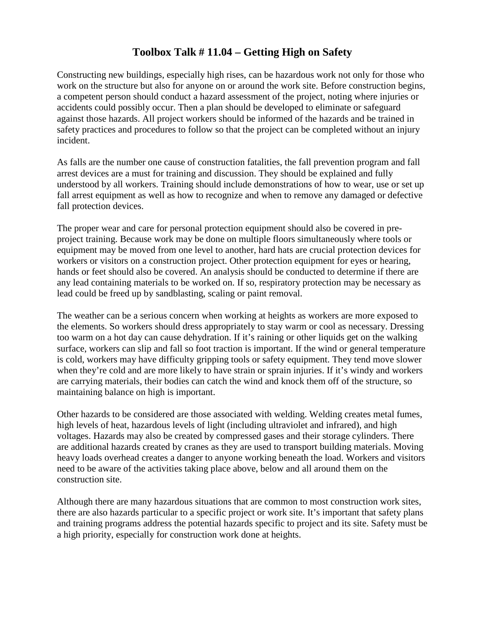## **Toolbox Talk # 11.04 – Getting High on Safety**

Constructing new buildings, especially high rises, can be hazardous work not only for those who work on the structure but also for anyone on or around the work site. Before construction begins, a competent person should conduct a hazard assessment of the project, noting where injuries or accidents could possibly occur. Then a plan should be developed to eliminate or safeguard against those hazards. All project workers should be informed of the hazards and be trained in safety practices and procedures to follow so that the project can be completed without an injury incident.

As falls are the number one cause of construction fatalities, the fall prevention program and fall arrest devices are a must for training and discussion. They should be explained and fully understood by all workers. Training should include demonstrations of how to wear, use or set up fall arrest equipment as well as how to recognize and when to remove any damaged or defective fall protection devices.

The proper wear and care for personal protection equipment should also be covered in preproject training. Because work may be done on multiple floors simultaneously where tools or equipment may be moved from one level to another, hard hats are crucial protection devices for workers or visitors on a construction project. Other protection equipment for eyes or hearing, hands or feet should also be covered. An analysis should be conducted to determine if there are any lead containing materials to be worked on. If so, respiratory protection may be necessary as lead could be freed up by sandblasting, scaling or paint removal.

The weather can be a serious concern when working at heights as workers are more exposed to the elements. So workers should dress appropriately to stay warm or cool as necessary. Dressing too warm on a hot day can cause dehydration. If it's raining or other liquids get on the walking surface, workers can slip and fall so foot traction is important. If the wind or general temperature is cold, workers may have difficulty gripping tools or safety equipment. They tend move slower when they're cold and are more likely to have strain or sprain injuries. If it's windy and workers are carrying materials, their bodies can catch the wind and knock them off of the structure, so maintaining balance on high is important.

Other hazards to be considered are those associated with welding. Welding creates metal fumes, high levels of heat, hazardous levels of light (including ultraviolet and infrared), and high voltages. Hazards may also be created by compressed gases and their storage cylinders. There are additional hazards created by cranes as they are used to transport building materials. Moving heavy loads overhead creates a danger to anyone working beneath the load. Workers and visitors need to be aware of the activities taking place above, below and all around them on the construction site.

Although there are many hazardous situations that are common to most construction work sites, there are also hazards particular to a specific project or work site. It's important that safety plans and training programs address the potential hazards specific to project and its site. Safety must be a high priority, especially for construction work done at heights.